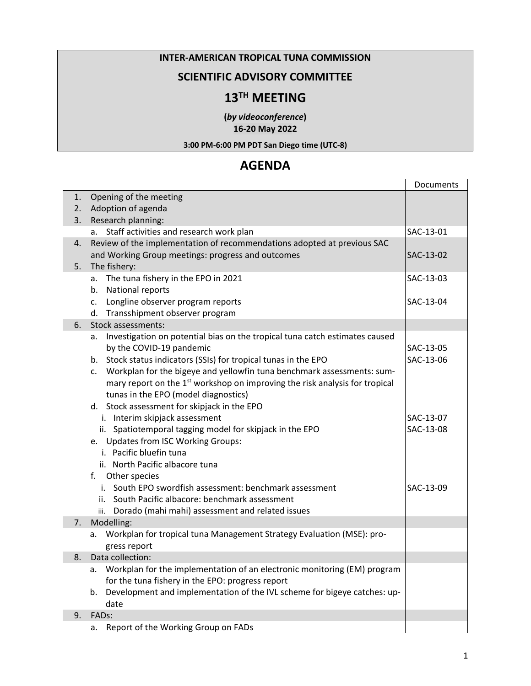#### **INTER-AMERICAN TROPICAL TUNA COMMISSION**

### **SCIENTIFIC ADVISORY COMMITTEE**

# **13TH MEETING**

**(***by videoconference***) 16-20 May 2022**

#### **3:00 PM-6:00 PM PDT San Diego time (UTC-8)**

# **AGENDA**

|                |                                                                                         | Documents |
|----------------|-----------------------------------------------------------------------------------------|-----------|
| 1.             | Opening of the meeting                                                                  |           |
| 2.             | Adoption of agenda                                                                      |           |
| 3.             | Research planning:                                                                      |           |
|                | a. Staff activities and research work plan                                              | SAC-13-01 |
| 4.             | Review of the implementation of recommendations adopted at previous SAC                 |           |
| 5.             | and Working Group meetings: progress and outcomes<br>The fishery:                       | SAC-13-02 |
|                | a. The tuna fishery in the EPO in 2021                                                  | SAC-13-03 |
|                | b. National reports                                                                     |           |
|                | Longline observer program reports<br>C.                                                 | SAC-13-04 |
|                | d. Transshipment observer program                                                       |           |
| 6.             | Stock assessments:                                                                      |           |
|                | Investigation on potential bias on the tropical tuna catch estimates caused<br>а.       |           |
|                | by the COVID-19 pandemic                                                                | SAC-13-05 |
|                | b. Stock status indicators (SSIs) for tropical tunas in the EPO                         | SAC-13-06 |
|                | Workplan for the bigeye and yellowfin tuna benchmark assessments: sum-<br>$c_{\cdot}$   |           |
|                | mary report on the 1 <sup>st</sup> workshop on improving the risk analysis for tropical |           |
|                | tunas in the EPO (model diagnostics)                                                    |           |
|                | d. Stock assessment for skipjack in the EPO                                             |           |
|                | i. Interim skipjack assessment                                                          | SAC-13-07 |
|                | ii. Spatiotemporal tagging model for skipjack in the EPO                                | SAC-13-08 |
|                | e. Updates from ISC Working Groups:                                                     |           |
|                | i. Pacific bluefin tuna                                                                 |           |
|                | ii. North Pacific albacore tuna                                                         |           |
|                | f. Other species                                                                        |           |
|                | i. South EPO swordfish assessment: benchmark assessment                                 | SAC-13-09 |
|                | ii. South Pacific albacore: benchmark assessment                                        |           |
|                | iii. Dorado (mahi mahi) assessment and related issues                                   |           |
| 7 <sub>1</sub> | Modelling:                                                                              |           |
|                | a. Workplan for tropical tuna Management Strategy Evaluation (MSE): pro-                |           |
|                | gress report                                                                            |           |
| 8.             | Data collection:                                                                        |           |
|                | Workplan for the implementation of an electronic monitoring (EM) program<br>а.          |           |
|                | for the tuna fishery in the EPO: progress report                                        |           |
|                | Development and implementation of the IVL scheme for bigeye catches: up-<br>b.          |           |
|                | date                                                                                    |           |
| 9.             | FADs:                                                                                   |           |
|                | Report of the Working Group on FADs<br>a.                                               |           |